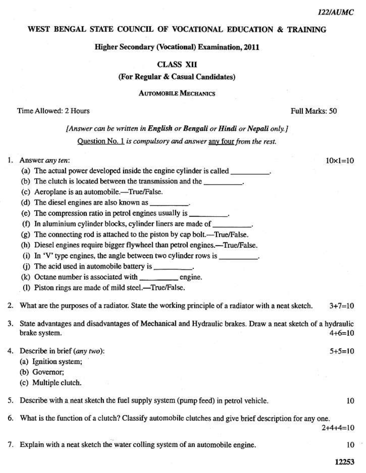$10 \times 1 = 10$ 

#### WEST BENGAL STATE COUNCIL OF VOCATIONAL EDUCATION & TRAINING

### **Higher Secondary (Vocational) Examination, 2011**

## **CLASS XII**

#### (For Regular & Casual Candidates)

**AUTOMOBILE MECHANICS** 

#### Time Allowed: 2 Hours

#### Full Marks: 50

# [Answer can be written in English or Bengali or Hindi or Nepali only.] Ouestion No. 1 is compulsory and answer any four from the rest.

## 1. Answer any ten:

- (a) The actual power developed inside the engine cylinder is called  $\qquad \qquad$
- (b) The clutch is located between the transmission and the \_\_\_\_\_\_\_\_\_\_.
- (c) Aeroplane is an automobile.-True/False.
- (d) The diesel engines are also known as  $\frac{1}{2}$ .
- (e) The compression ratio in petrol engines usually is \_\_\_\_\_\_\_\_\_.
- (f) In aluminium cylinder blocks, cylinder liners are made of .
- (g) The connecting rod is attached to the piston by cap bolt.—True/False.
- (h) Diesel engines require bigger flywheel than petrol engines.—True/False.
- (i) In 'V' type engines, the angle between two cylinder rows is
- (j) The acid used in automobile battery is \_\_\_\_\_\_\_\_\_.
- (k) Octane number is associated with engine.
- (I) Piston rings are made of mild steel.—True/False.
- What are the purposes of a radiator. State the working principle of a radiator with a neat sketch.  $2.$  $3+7=10$
- 3. State advantages and disadvantages of Mechanical and Hydraulic brakes. Draw a neat sketch of a hydraulic brake system.  $4+6=10$
- 4. Describe in brief (any two):
	- (a) Ignition system;
	- (b) Governor;
	- (c) Multiple clutch.
	- 5. Describe with a neat sketch the fuel supply system (pump feed) in petrol vehicle.
	- 6. What is the function of a clutch? Classify automobile clutches and give brief description for any one.

 $2+4+4=10$ 

 $5+5=10$ 

7. Explain with a neat sketch the water colling system of an automobile engine.

10

10